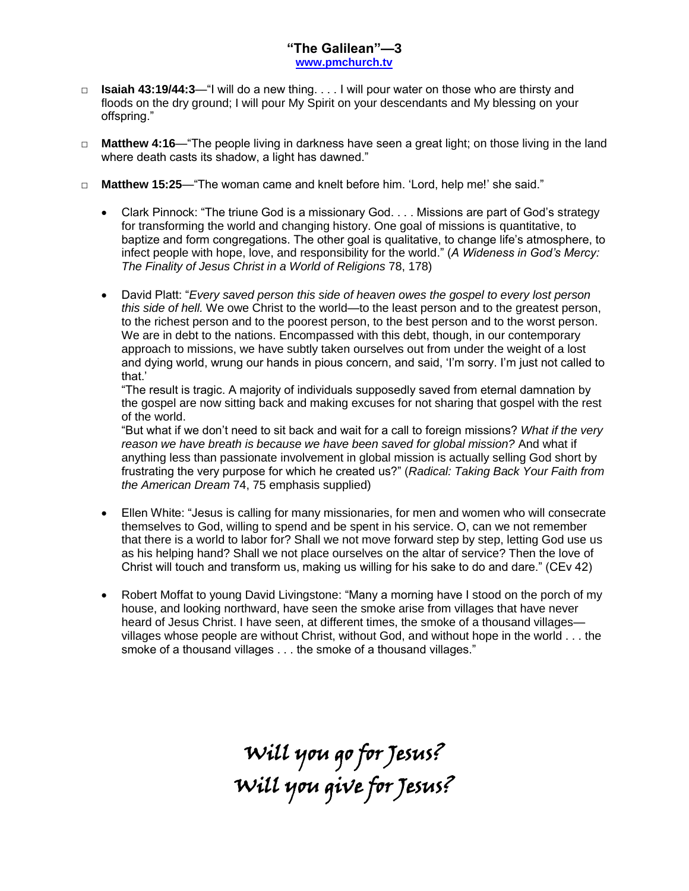## **"The Galilean"—3 [www.pmchurch.tv](http://www.pmchurch.tv/)**

- □ **Isaiah 43:19/44:3**—"I will do a new thing. . . . I will pour water on those who are thirsty and floods on the dry ground; I will pour My Spirit on your descendants and My blessing on your offspring."
- □ **Matthew 4:16** "The people living in darkness have seen a great light; on those living in the land where death casts its shadow, a light has dawned."
- □ **Matthew 15:25**—"The woman came and knelt before him. 'Lord, help me!' she said."
	- Clark Pinnock: "The triune God is a missionary God. . . . Missions are part of God's strategy for transforming the world and changing history. One goal of missions is quantitative, to baptize and form congregations. The other goal is qualitative, to change life's atmosphere, to infect people with hope, love, and responsibility for the world." (*A Wideness in God's Mercy: The Finality of Jesus Christ in a World of Religions* 78, 178)
	- David Platt: "*Every saved person this side of heaven owes the gospel to every lost person this side of hell.* We owe Christ to the world—to the least person and to the greatest person, to the richest person and to the poorest person, to the best person and to the worst person. We are in debt to the nations. Encompassed with this debt, though, in our contemporary approach to missions, we have subtly taken ourselves out from under the weight of a lost and dying world, wrung our hands in pious concern, and said, 'I'm sorry. I'm just not called to that.'

"The result is tragic. A majority of individuals supposedly saved from eternal damnation by the gospel are now sitting back and making excuses for not sharing that gospel with the rest of the world.

"But what if we don't need to sit back and wait for a call to foreign missions? *What if the very reason we have breath is because we have been saved for global mission?* And what if anything less than passionate involvement in global mission is actually selling God short by frustrating the very purpose for which he created us?" (*Radical: Taking Back Your Faith from the American Dream* 74, 75 emphasis supplied)

- Ellen White: "Jesus is calling for many missionaries, for men and women who will consecrate themselves to God, willing to spend and be spent in his service. O, can we not remember that there is a world to labor for? Shall we not move forward step by step, letting God use us as his helping hand? Shall we not place ourselves on the altar of service? Then the love of Christ will touch and transform us, making us willing for his sake to do and dare." (CEv 42)
- Robert Moffat to young David Livingstone: "Many a morning have I stood on the porch of my house, and looking northward, have seen the smoke arise from villages that have never heard of Jesus Christ. I have seen, at different times, the smoke of a thousand villages villages whose people are without Christ, without God, and without hope in the world . . . the smoke of a thousand villages . . . the smoke of a thousand villages."

Will you go for Jesus? Will you give for Jesus?